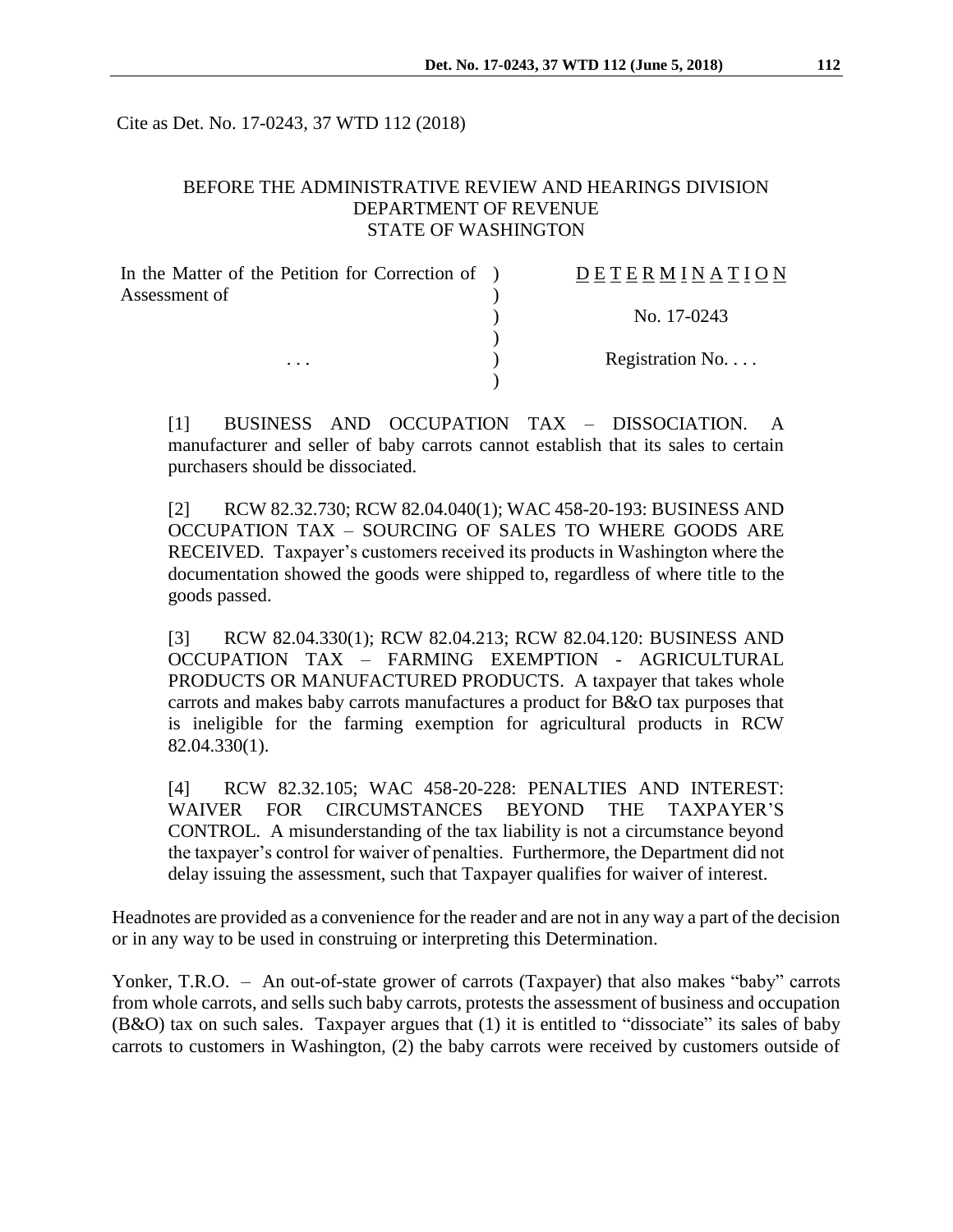Cite as Det. No. 17-0243, 37 WTD 112 (2018)

#### BEFORE THE ADMINISTRATIVE REVIEW AND HEARINGS DIVISION DEPARTMENT OF REVENUE STATE OF WASHINGTON

| In the Matter of the Petition for Correction of ) | DETERMINATION    |
|---------------------------------------------------|------------------|
| Assessment of                                     |                  |
|                                                   | No. 17-0243      |
|                                                   |                  |
| $\cdots$                                          | Registration No. |
|                                                   |                  |

[1] BUSINESS AND OCCUPATION TAX – DISSOCIATION. A manufacturer and seller of baby carrots cannot establish that its sales to certain purchasers should be dissociated.

[2] RCW 82.32.730; RCW 82.04.040(1); WAC 458-20-193: BUSINESS AND OCCUPATION TAX – SOURCING OF SALES TO WHERE GOODS ARE RECEIVED*.* Taxpayer's customers received its products in Washington where the documentation showed the goods were shipped to, regardless of where title to the goods passed.

[3] RCW 82.04.330(1); RCW 82.04.213; RCW 82.04.120: BUSINESS AND OCCUPATION TAX – FARMING EXEMPTION - AGRICULTURAL PRODUCTS OR MANUFACTURED PRODUCTS. A taxpayer that takes whole carrots and makes baby carrots manufactures a product for B&O tax purposes that is ineligible for the farming exemption for agricultural products in RCW 82.04.330(1).

[4] RCW 82.32.105; WAC 458-20-228: PENALTIES AND INTEREST: WAIVER FOR CIRCUMSTANCES BEYOND THE TAXPAYER'S CONTROL. A misunderstanding of the tax liability is not a circumstance beyond the taxpayer's control for waiver of penalties. Furthermore, the Department did not delay issuing the assessment, such that Taxpayer qualifies for waiver of interest.

Headnotes are provided as a convenience for the reader and are not in any way a part of the decision or in any way to be used in construing or interpreting this Determination.

Yonker, T.R.O. – An out-of-state grower of carrots (Taxpayer) that also makes "baby" carrots from whole carrots, and sells such baby carrots, protests the assessment of business and occupation (B&O) tax on such sales. Taxpayer argues that (1) it is entitled to "dissociate" its sales of baby carrots to customers in Washington, (2) the baby carrots were received by customers outside of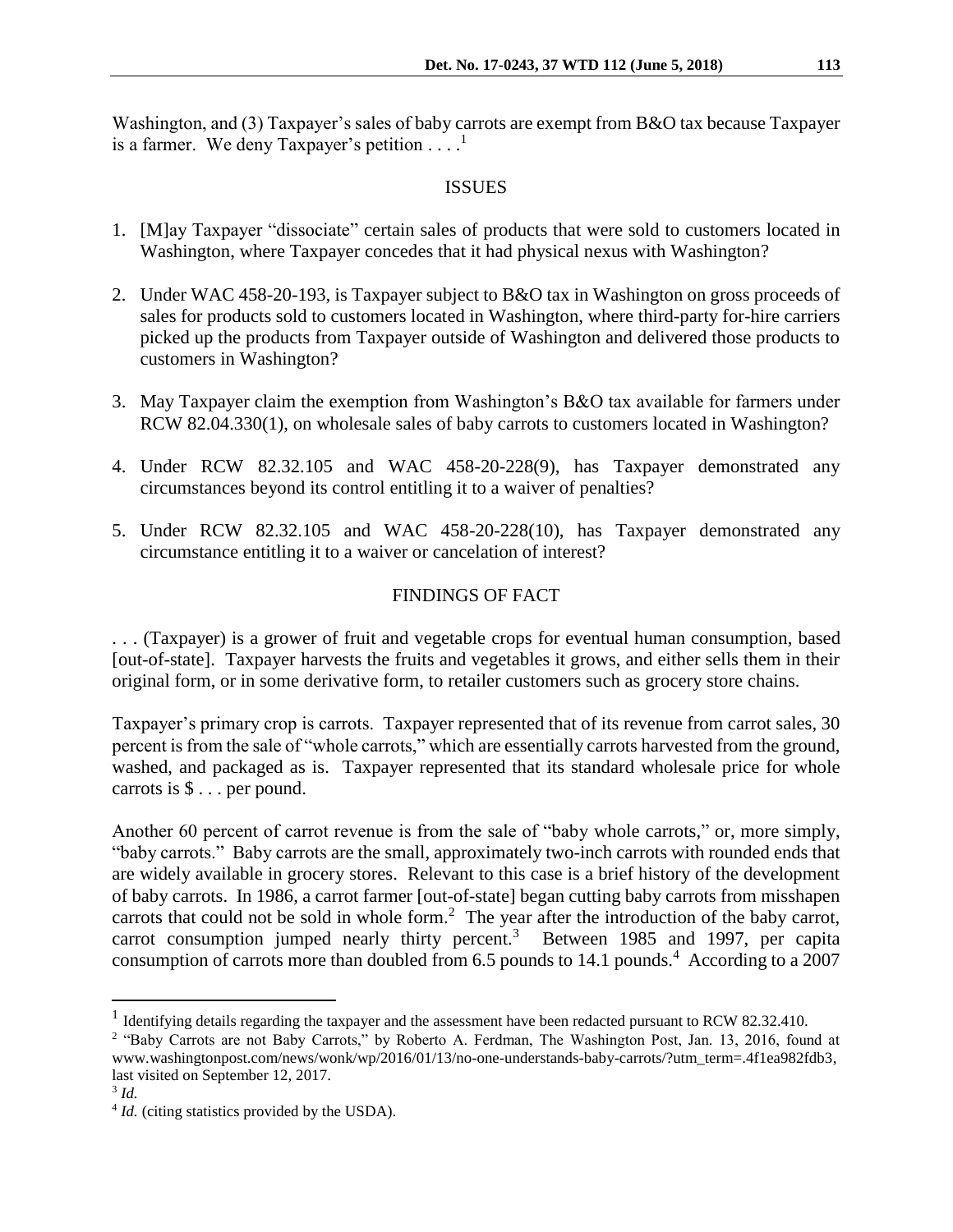Washington, and (3) Taxpayer's sales of baby carrots are exempt from B&O tax because Taxpayer is a farmer. We deny Taxpayer's petition  $\dots$ .

### ISSUES

- 1. [M]ay Taxpayer "dissociate" certain sales of products that were sold to customers located in Washington, where Taxpayer concedes that it had physical nexus with Washington?
- 2. Under WAC 458-20-193, is Taxpayer subject to B&O tax in Washington on gross proceeds of sales for products sold to customers located in Washington, where third-party for-hire carriers picked up the products from Taxpayer outside of Washington and delivered those products to customers in Washington?
- 3. May Taxpayer claim the exemption from Washington's B&O tax available for farmers under RCW 82.04.330(1), on wholesale sales of baby carrots to customers located in Washington?
- 4. Under RCW 82.32.105 and WAC 458-20-228(9), has Taxpayer demonstrated any circumstances beyond its control entitling it to a waiver of penalties?
- 5. Under RCW 82.32.105 and WAC 458-20-228(10), has Taxpayer demonstrated any circumstance entitling it to a waiver or cancelation of interest?

# FINDINGS OF FACT

. . . (Taxpayer) is a grower of fruit and vegetable crops for eventual human consumption, based [out-of-state]. Taxpayer harvests the fruits and vegetables it grows, and either sells them in their original form, or in some derivative form, to retailer customers such as grocery store chains.

Taxpayer's primary crop is carrots. Taxpayer represented that of its revenue from carrot sales, 30 percent is from the sale of "whole carrots," which are essentially carrots harvested from the ground, washed, and packaged as is. Taxpayer represented that its standard wholesale price for whole carrots is \$ . . . per pound.

Another 60 percent of carrot revenue is from the sale of "baby whole carrots," or, more simply, "baby carrots." Baby carrots are the small, approximately two-inch carrots with rounded ends that are widely available in grocery stores. Relevant to this case is a brief history of the development of baby carrots. In 1986, a carrot farmer [out-of-state] began cutting baby carrots from misshapen carrots that could not be sold in whole form.<sup>2</sup> The year after the introduction of the baby carrot, carrot consumption jumped nearly thirty percent.<sup>3</sup> Between 1985 and 1997, per capita consumption of carrots more than doubled from 6.5 pounds to 14.1 pounds.<sup>4</sup> According to a 2007

 $\overline{a}$ 

<sup>&</sup>lt;sup>1</sup> Identifying details regarding the taxpayer and the assessment have been redacted pursuant to RCW 82.32.410.

<sup>&</sup>lt;sup>2</sup> "Baby Carrots are not Baby Carrots," by Roberto A. Ferdman, The Washington Post, Jan. 13, 2016, found at www.washingtonpost.com/news/wonk/wp/2016/01/13/no-one-understands-baby-carrots/?utm\_term=.4f1ea982fdb3, last visited on September 12, 2017.

<sup>3</sup> *Id.*

<sup>&</sup>lt;sup>4</sup> *Id.* (citing statistics provided by the USDA).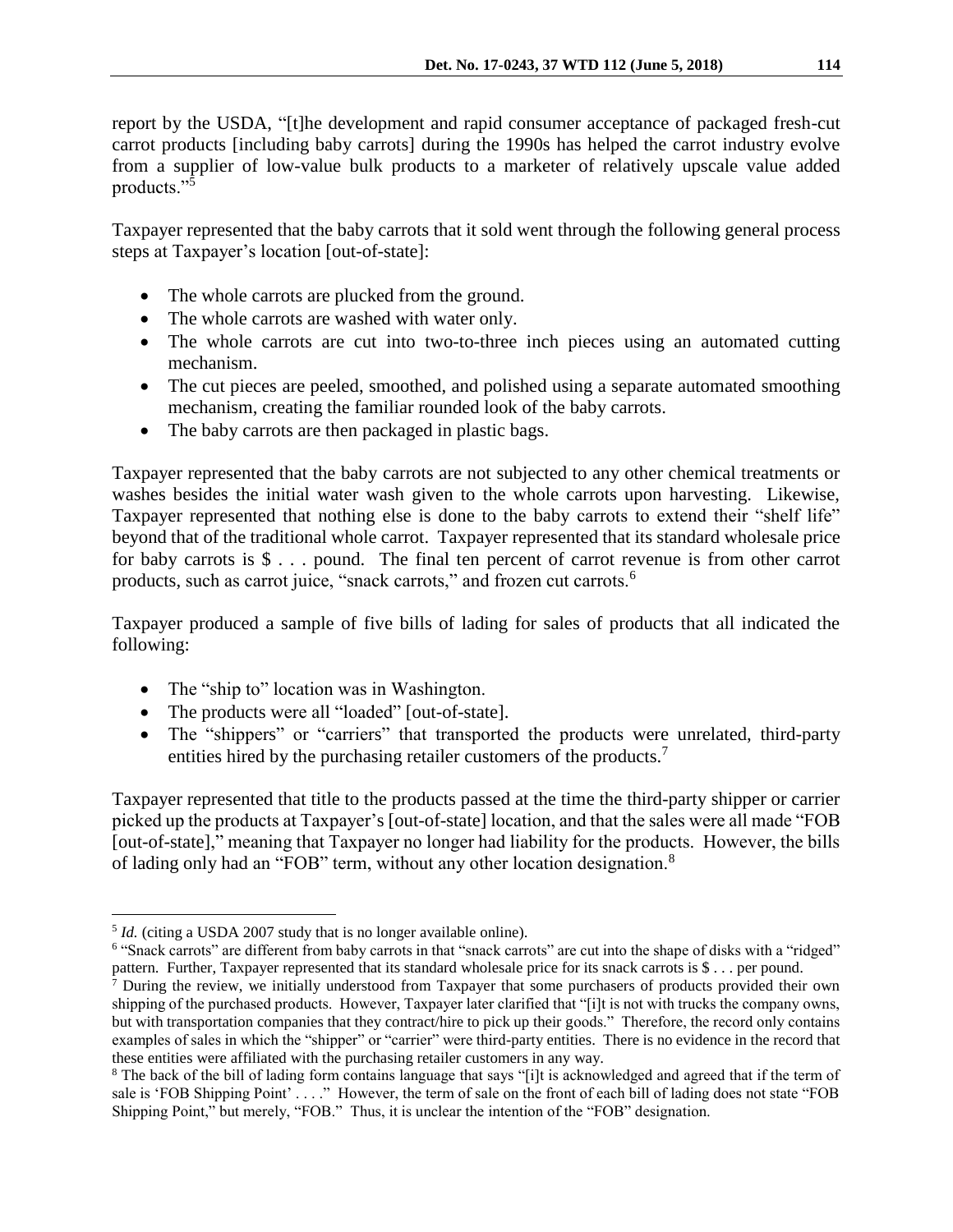report by the USDA, "[t]he development and rapid consumer acceptance of packaged fresh-cut carrot products [including baby carrots] during the 1990s has helped the carrot industry evolve from a supplier of low-value bulk products to a marketer of relatively upscale value added products."<sup>5</sup>

Taxpayer represented that the baby carrots that it sold went through the following general process steps at Taxpayer's location [out-of-state]:

- The whole carrots are plucked from the ground.
- The whole carrots are washed with water only.
- The whole carrots are cut into two-to-three inch pieces using an automated cutting mechanism.
- The cut pieces are peeled, smoothed, and polished using a separate automated smoothing mechanism, creating the familiar rounded look of the baby carrots.
- The baby carrots are then packaged in plastic bags.

Taxpayer represented that the baby carrots are not subjected to any other chemical treatments or washes besides the initial water wash given to the whole carrots upon harvesting. Likewise, Taxpayer represented that nothing else is done to the baby carrots to extend their "shelf life" beyond that of the traditional whole carrot. Taxpayer represented that its standard wholesale price for baby carrots is \$ . . . pound. The final ten percent of carrot revenue is from other carrot products, such as carrot juice, "snack carrots," and frozen cut carrots.<sup>6</sup>

Taxpayer produced a sample of five bills of lading for sales of products that all indicated the following:

- The "ship to" location was in Washington.
- The products were all "loaded" [out-of-state].
- The "shippers" or "carriers" that transported the products were unrelated, third-party entities hired by the purchasing retailer customers of the products.<sup>7</sup>

Taxpayer represented that title to the products passed at the time the third-party shipper or carrier picked up the products at Taxpayer's [out-of-state] location, and that the sales were all made "FOB [out-of-state]," meaning that Taxpayer no longer had liability for the products. However, the bills of lading only had an "FOB" term, without any other location designation.<sup>8</sup>

 $\overline{a}$ 

<sup>&</sup>lt;sup>5</sup> *Id.* (citing a USDA 2007 study that is no longer available online).

<sup>&</sup>lt;sup>6</sup> "Snack carrots" are different from baby carrots in that "snack carrots" are cut into the shape of disks with a "ridged" pattern. Further, Taxpayer represented that its standard wholesale price for its snack carrots is \$ . . . per pound.

<sup>&</sup>lt;sup>7</sup> During the review, we initially understood from Taxpayer that some purchasers of products provided their own shipping of the purchased products. However, Taxpayer later clarified that "[i]t is not with trucks the company owns, but with transportation companies that they contract/hire to pick up their goods." Therefore, the record only contains examples of sales in which the "shipper" or "carrier" were third-party entities. There is no evidence in the record that these entities were affiliated with the purchasing retailer customers in any way.

<sup>&</sup>lt;sup>8</sup> The back of the bill of lading form contains language that says "[i]t is acknowledged and agreed that if the term of sale is 'FOB Shipping Point' . . . ." However, the term of sale on the front of each bill of lading does not state "FOB Shipping Point," but merely, "FOB." Thus, it is unclear the intention of the "FOB" designation.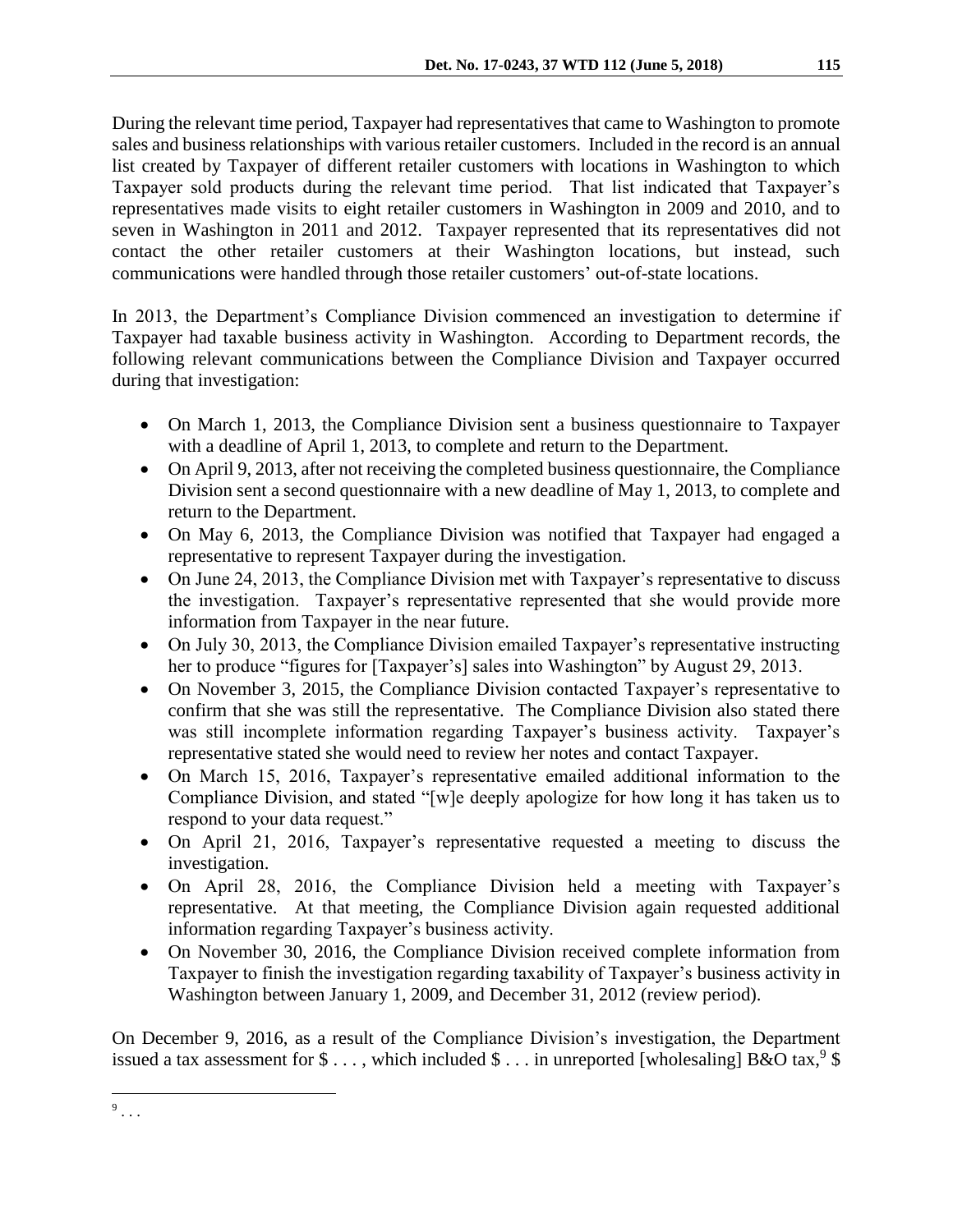During the relevant time period, Taxpayer had representatives that came to Washington to promote sales and business relationships with various retailer customers. Included in the record is an annual list created by Taxpayer of different retailer customers with locations in Washington to which Taxpayer sold products during the relevant time period. That list indicated that Taxpayer's representatives made visits to eight retailer customers in Washington in 2009 and 2010, and to seven in Washington in 2011 and 2012. Taxpayer represented that its representatives did not contact the other retailer customers at their Washington locations, but instead, such communications were handled through those retailer customers' out-of-state locations.

In 2013, the Department's Compliance Division commenced an investigation to determine if Taxpayer had taxable business activity in Washington. According to Department records, the following relevant communications between the Compliance Division and Taxpayer occurred during that investigation:

- On March 1, 2013, the Compliance Division sent a business questionnaire to Taxpayer with a deadline of April 1, 2013, to complete and return to the Department.
- On April 9, 2013, after not receiving the completed business questionnaire, the Compliance Division sent a second questionnaire with a new deadline of May 1, 2013, to complete and return to the Department.
- On May 6, 2013, the Compliance Division was notified that Taxpayer had engaged a representative to represent Taxpayer during the investigation.
- On June 24, 2013, the Compliance Division met with Taxpayer's representative to discuss the investigation. Taxpayer's representative represented that she would provide more information from Taxpayer in the near future.
- On July 30, 2013, the Compliance Division emailed Taxpayer's representative instructing her to produce "figures for [Taxpayer's] sales into Washington" by August 29, 2013.
- On November 3, 2015, the Compliance Division contacted Taxpayer's representative to confirm that she was still the representative. The Compliance Division also stated there was still incomplete information regarding Taxpayer's business activity. Taxpayer's representative stated she would need to review her notes and contact Taxpayer.
- On March 15, 2016, Taxpayer's representative emailed additional information to the Compliance Division, and stated "[w]e deeply apologize for how long it has taken us to respond to your data request."
- On April 21, 2016, Taxpayer's representative requested a meeting to discuss the investigation.
- On April 28, 2016, the Compliance Division held a meeting with Taxpayer's representative. At that meeting, the Compliance Division again requested additional information regarding Taxpayer's business activity.
- On November 30, 2016, the Compliance Division received complete information from Taxpayer to finish the investigation regarding taxability of Taxpayer's business activity in Washington between January 1, 2009, and December 31, 2012 (review period).

On December 9, 2016, as a result of the Compliance Division's investigation, the Department issued a tax assessment for \$..., which included \$... in unreported [wholesaling] B&O tax,  $9$  \$

 $\overline{a}$  $9 \ldots$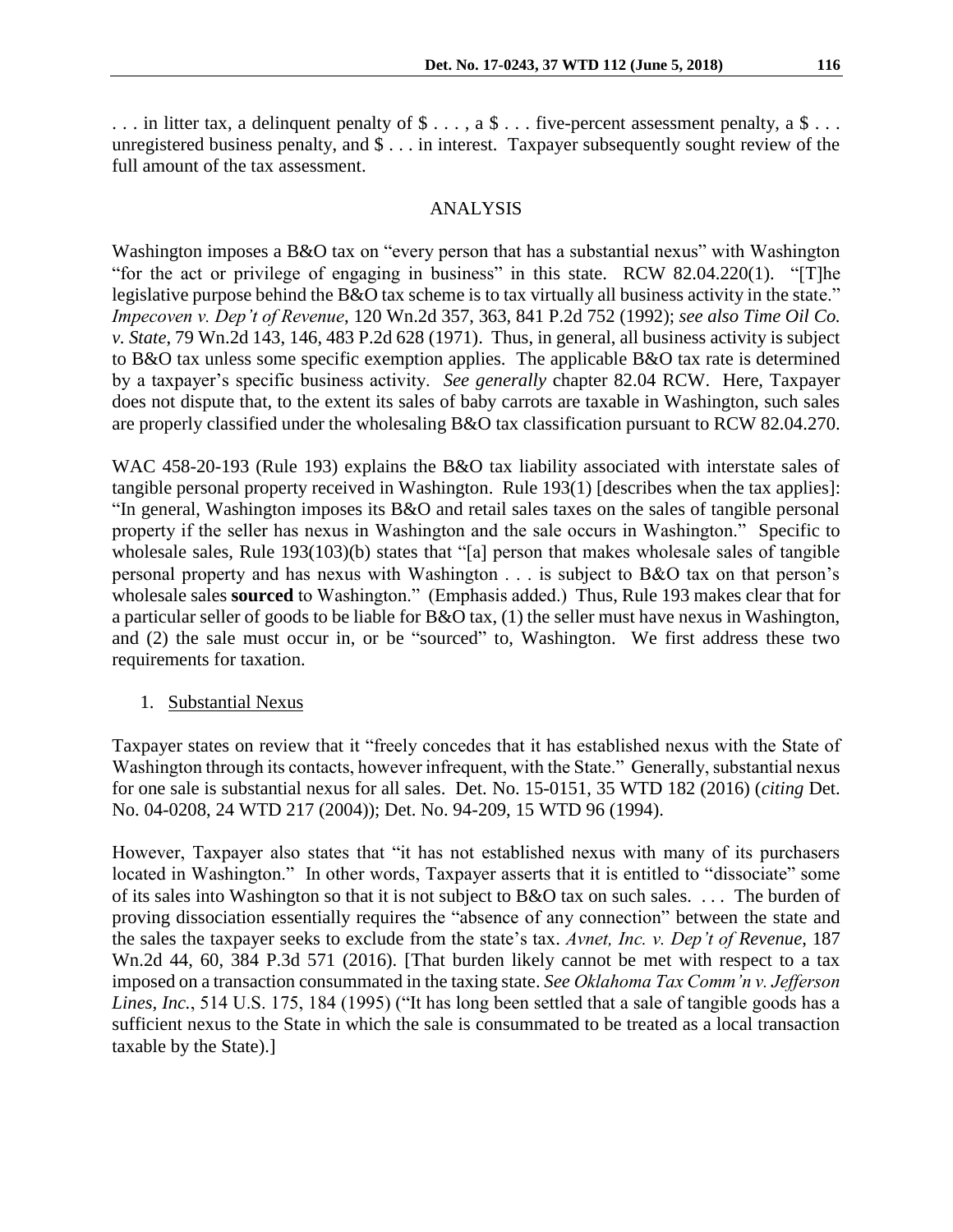... in litter tax, a delinquent penalty of  $\$\ldots$ , a  $\$\ldots$  five-percent assessment penalty, a  $\$\ldots$ unregistered business penalty, and \$ . . . in interest. Taxpayer subsequently sought review of the full amount of the tax assessment.

#### ANALYSIS

Washington imposes a B&O tax on "every person that has a substantial nexus" with Washington "for the act or privilege of engaging in business" in this state. RCW 82.04.220(1). "[T]he legislative purpose behind the B&O tax scheme is to tax virtually all business activity in the state." *Impecoven v. Dep't of Revenue*, 120 Wn.2d 357, 363, 841 P.2d 752 (1992); *see also Time Oil Co. v. State*, 79 Wn.2d 143, 146, 483 P.2d 628 (1971). Thus, in general, all business activity is subject to B&O tax unless some specific exemption applies. The applicable B&O tax rate is determined by a taxpayer's specific business activity. *See generally* chapter 82.04 RCW. Here, Taxpayer does not dispute that, to the extent its sales of baby carrots are taxable in Washington, such sales are properly classified under the wholesaling B&O tax classification pursuant to RCW 82.04.270.

WAC 458-20-193 (Rule 193) explains the B&O tax liability associated with interstate sales of tangible personal property received in Washington. Rule 193(1) [describes when the tax applies]: "In general, Washington imposes its B&O and retail sales taxes on the sales of tangible personal property if the seller has nexus in Washington and the sale occurs in Washington." Specific to wholesale sales, Rule 193(103)(b) states that "[a] person that makes wholesale sales of tangible personal property and has nexus with Washington . . . is subject to B&O tax on that person's wholesale sales **sourced** to Washington." (Emphasis added.) Thus, Rule 193 makes clear that for a particular seller of goods to be liable for B&O tax, (1) the seller must have nexus in Washington, and (2) the sale must occur in, or be "sourced" to, Washington. We first address these two requirements for taxation.

#### 1. Substantial Nexus

Taxpayer states on review that it "freely concedes that it has established nexus with the State of Washington through its contacts, however infrequent, with the State." Generally, substantial nexus for one sale is substantial nexus for all sales. Det. No. 15-0151, 35 WTD 182 (2016) (*citing* Det. No. 04-0208, 24 WTD 217 (2004)); Det. No. 94-209, 15 WTD 96 (1994).

However, Taxpayer also states that "it has not established nexus with many of its purchasers located in Washington." In other words, Taxpayer asserts that it is entitled to "dissociate" some of its sales into Washington so that it is not subject to B&O tax on such sales. . . . The burden of proving dissociation essentially requires the "absence of any connection" between the state and the sales the taxpayer seeks to exclude from the state's tax. *Avnet, Inc. v. Dep't of Revenue*, 187 Wn.2d 44, 60, 384 P.3d 571 (2016). [That burden likely cannot be met with respect to a tax imposed on a transaction consummated in the taxing state. *See Oklahoma Tax Comm'n v. Jefferson Lines, Inc.*, 514 U.S. 175, 184 (1995) ("It has long been settled that a sale of tangible goods has a sufficient nexus to the State in which the sale is consummated to be treated as a local transaction taxable by the State).]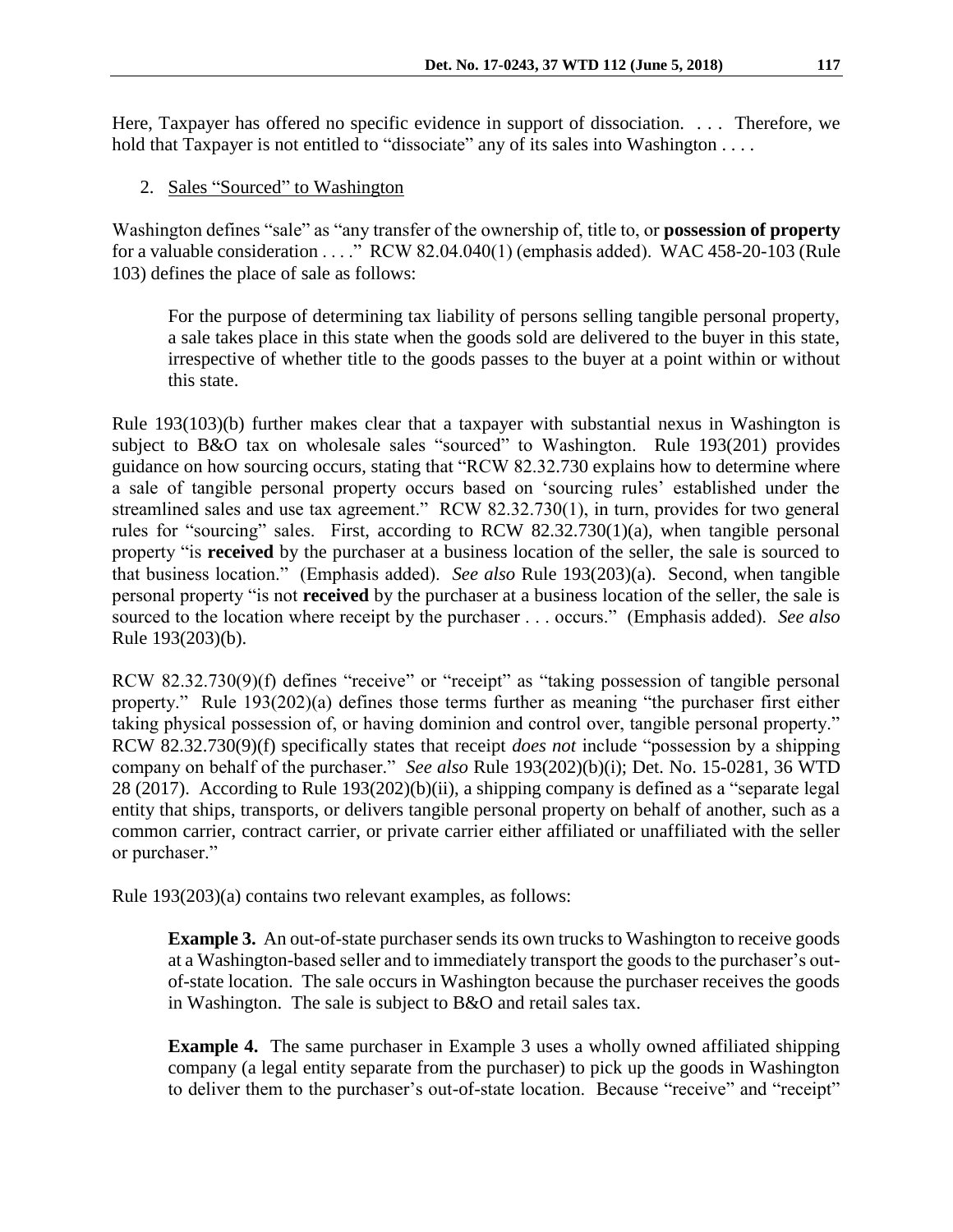Here, Taxpayer has offered no specific evidence in support of dissociation. . . . Therefore, we hold that Taxpayer is not entitled to "dissociate" any of its sales into Washington . . . .

2. Sales "Sourced" to Washington

Washington defines "sale" as "any transfer of the ownership of, title to, or **possession of property** for a valuable consideration . . . ." RCW 82.04.040(1) (emphasis added). WAC 458-20-103 (Rule 103) defines the place of sale as follows:

For the purpose of determining tax liability of persons selling tangible personal property, a sale takes place in this state when the goods sold are delivered to the buyer in this state, irrespective of whether title to the goods passes to the buyer at a point within or without this state.

Rule 193(103)(b) further makes clear that a taxpayer with substantial nexus in Washington is subject to B&O tax on wholesale sales "sourced" to Washington. Rule 193(201) provides guidance on how sourcing occurs, stating that "RCW 82.32.730 explains how to determine where a sale of tangible personal property occurs based on 'sourcing rules' established under the streamlined sales and use tax agreement." RCW 82.32.730(1), in turn, provides for two general rules for "sourcing" sales. First, according to RCW 82.32.730(1)(a), when tangible personal property "is **received** by the purchaser at a business location of the seller, the sale is sourced to that business location." (Emphasis added). *See also* Rule 193(203)(a). Second, when tangible personal property "is not **received** by the purchaser at a business location of the seller, the sale is sourced to the location where receipt by the purchaser . . . occurs." (Emphasis added). *See also*  Rule 193(203)(b).

RCW 82.32.730(9)(f) defines "receive" or "receipt" as "taking possession of tangible personal property." Rule 193(202)(a) defines those terms further as meaning "the purchaser first either taking physical possession of, or having dominion and control over, tangible personal property." RCW 82.32.730(9)(f) specifically states that receipt *does not* include "possession by a shipping company on behalf of the purchaser." *See also* Rule 193(202)(b)(i); Det. No. 15-0281, 36 WTD 28 (2017). According to Rule 193(202)(b)(ii), a shipping company is defined as a "separate legal entity that ships, transports, or delivers tangible personal property on behalf of another, such as a common carrier, contract carrier, or private carrier either affiliated or unaffiliated with the seller or purchaser."

Rule 193(203)(a) contains two relevant examples, as follows:

**Example 3.** An out-of-state purchaser sends its own trucks to Washington to receive goods at a Washington-based seller and to immediately transport the goods to the purchaser's outof-state location. The sale occurs in Washington because the purchaser receives the goods in Washington. The sale is subject to B&O and retail sales tax.

**Example 4.** The same purchaser in Example 3 uses a wholly owned affiliated shipping company (a legal entity separate from the purchaser) to pick up the goods in Washington to deliver them to the purchaser's out-of-state location. Because "receive" and "receipt"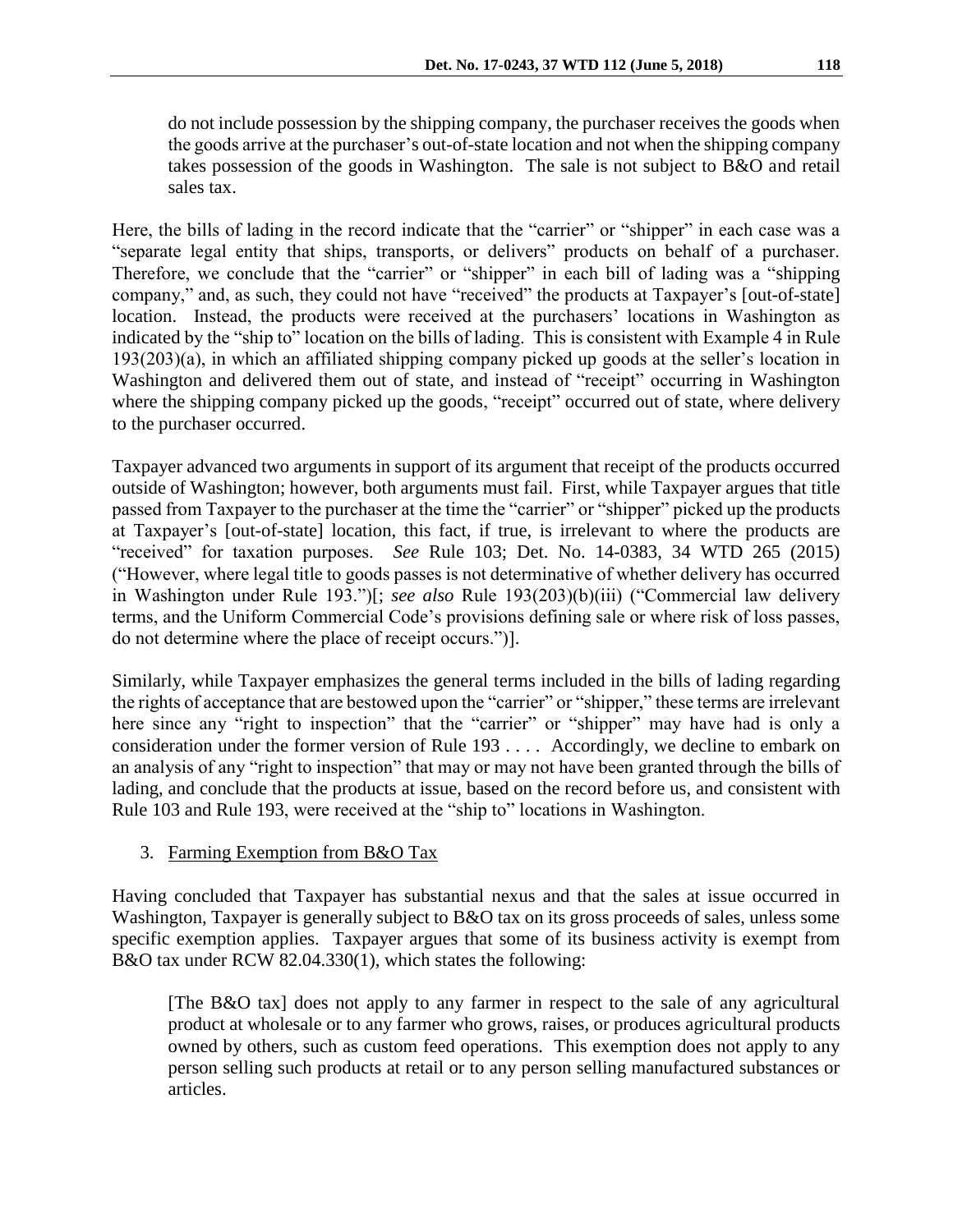do not include possession by the shipping company, the purchaser receives the goods when the goods arrive at the purchaser's out-of-state location and not when the shipping company takes possession of the goods in Washington. The sale is not subject to B&O and retail sales tax.

Here, the bills of lading in the record indicate that the "carrier" or "shipper" in each case was a "separate legal entity that ships, transports, or delivers" products on behalf of a purchaser. Therefore, we conclude that the "carrier" or "shipper" in each bill of lading was a "shipping company," and, as such, they could not have "received" the products at Taxpayer's [out-of-state] location. Instead, the products were received at the purchasers' locations in Washington as indicated by the "ship to" location on the bills of lading. This is consistent with Example 4 in Rule 193(203)(a), in which an affiliated shipping company picked up goods at the seller's location in Washington and delivered them out of state, and instead of "receipt" occurring in Washington where the shipping company picked up the goods, "receipt" occurred out of state, where delivery to the purchaser occurred.

Taxpayer advanced two arguments in support of its argument that receipt of the products occurred outside of Washington; however, both arguments must fail. First, while Taxpayer argues that title passed from Taxpayer to the purchaser at the time the "carrier" or "shipper" picked up the products at Taxpayer's [out-of-state] location, this fact, if true, is irrelevant to where the products are "received" for taxation purposes. *See* Rule 103; Det. No. 14-0383, 34 WTD 265 (2015) ("However, where legal title to goods passes is not determinative of whether delivery has occurred in Washington under Rule 193.")[; *see also* Rule 193(203)(b)(iii) ("Commercial law delivery terms, and the Uniform Commercial Code's provisions defining sale or where risk of loss passes, do not determine where the place of receipt occurs.")].

Similarly, while Taxpayer emphasizes the general terms included in the bills of lading regarding the rights of acceptance that are bestowed upon the "carrier" or "shipper," these terms are irrelevant here since any "right to inspection" that the "carrier" or "shipper" may have had is only a consideration under the former version of Rule 193 . . . . Accordingly, we decline to embark on an analysis of any "right to inspection" that may or may not have been granted through the bills of lading, and conclude that the products at issue, based on the record before us, and consistent with Rule 103 and Rule 193, were received at the "ship to" locations in Washington.

## 3. Farming Exemption from B&O Tax

Having concluded that Taxpayer has substantial nexus and that the sales at issue occurred in Washington, Taxpayer is generally subject to B&O tax on its gross proceeds of sales, unless some specific exemption applies. Taxpayer argues that some of its business activity is exempt from B&O tax under RCW 82.04.330(1), which states the following:

[The B&O tax] does not apply to any farmer in respect to the sale of any agricultural product at wholesale or to any farmer who grows, raises, or produces agricultural products owned by others, such as custom feed operations. This exemption does not apply to any person selling such products at retail or to any person selling manufactured substances or articles.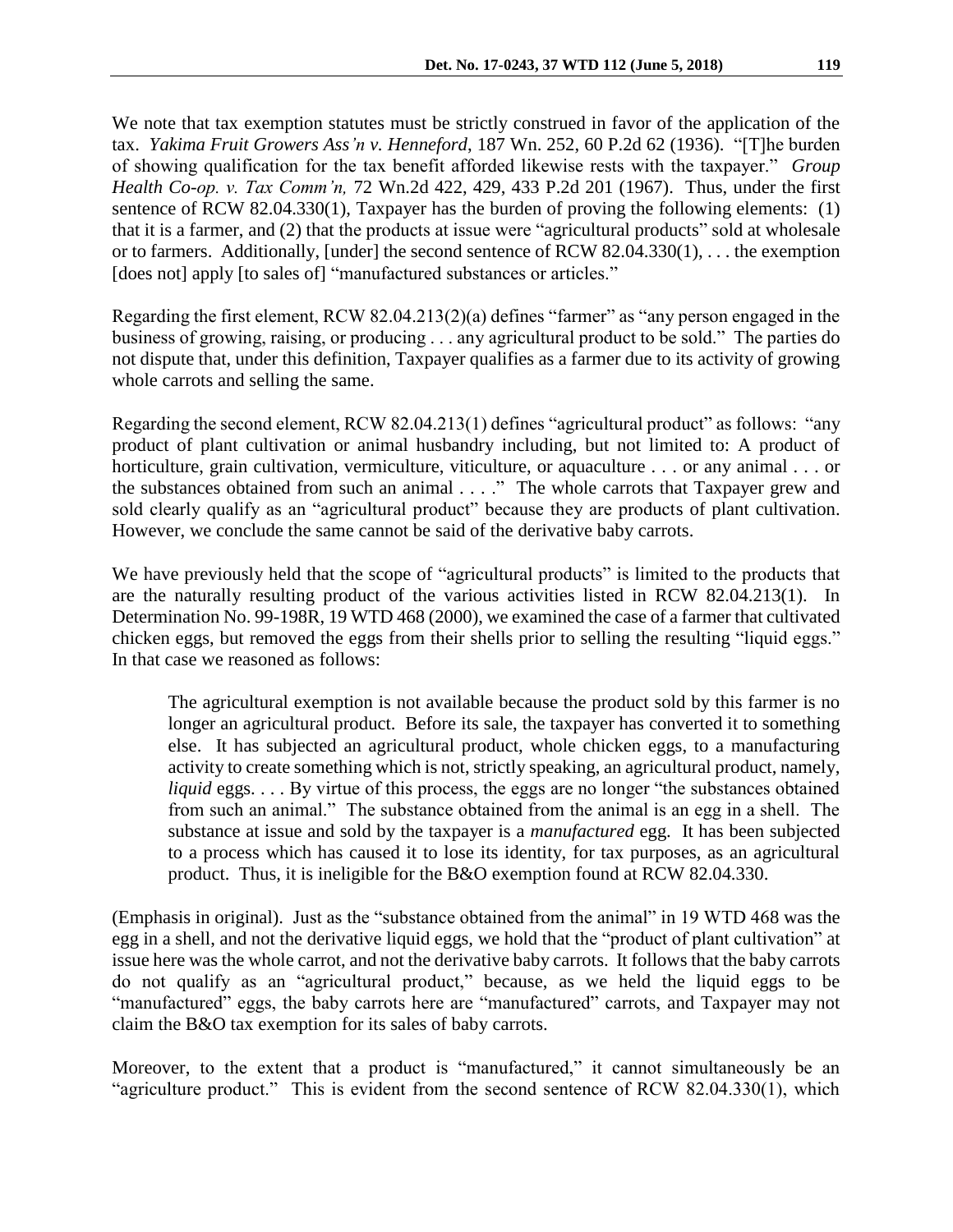We note that tax exemption statutes must be strictly construed in favor of the application of the tax. *Yakima Fruit Growers Ass'n v. Henneford*, 187 Wn. 252, 60 P.2d 62 (1936). "[T]he burden of showing qualification for the tax benefit afforded likewise rests with the taxpayer." *Group Health Co-op. v. Tax Comm'n,* 72 Wn.2d 422, 429, 433 P.2d 201 (1967). Thus, under the first sentence of RCW 82.04.330(1), Taxpayer has the burden of proving the following elements: (1) that it is a farmer, and (2) that the products at issue were "agricultural products" sold at wholesale or to farmers. Additionally, [under] the second sentence of RCW 82.04.330(1), . . . the exemption [does not] apply [to sales of] "manufactured substances or articles."

Regarding the first element, RCW 82.04.213(2)(a) defines "farmer" as "any person engaged in the business of growing, raising, or producing . . . any agricultural product to be sold." The parties do not dispute that, under this definition, Taxpayer qualifies as a farmer due to its activity of growing whole carrots and selling the same.

Regarding the second element, RCW 82.04.213(1) defines "agricultural product" as follows: "any product of plant cultivation or animal husbandry including, but not limited to: A product of horticulture, grain cultivation, vermiculture, viticulture, or aquaculture . . . or any animal . . . or the substances obtained from such an animal . . . ." The whole carrots that Taxpayer grew and sold clearly qualify as an "agricultural product" because they are products of plant cultivation. However, we conclude the same cannot be said of the derivative baby carrots.

We have previously held that the scope of "agricultural products" is limited to the products that are the naturally resulting product of the various activities listed in RCW 82.04.213(1). In Determination No. 99-198R, 19 WTD 468 (2000), we examined the case of a farmer that cultivated chicken eggs, but removed the eggs from their shells prior to selling the resulting "liquid eggs." In that case we reasoned as follows:

The agricultural exemption is not available because the product sold by this farmer is no longer an agricultural product. Before its sale, the taxpayer has converted it to something else. It has subjected an agricultural product, whole chicken eggs, to a manufacturing activity to create something which is not, strictly speaking, an agricultural product, namely, *liquid* eggs. . . . By virtue of this process, the eggs are no longer "the substances obtained from such an animal." The substance obtained from the animal is an egg in a shell. The substance at issue and sold by the taxpayer is a *manufactured* egg. It has been subjected to a process which has caused it to lose its identity, for tax purposes, as an agricultural product. Thus, it is ineligible for the B&O exemption found at RCW 82.04.330.

(Emphasis in original). Just as the "substance obtained from the animal" in 19 WTD 468 was the egg in a shell, and not the derivative liquid eggs, we hold that the "product of plant cultivation" at issue here was the whole carrot, and not the derivative baby carrots. It follows that the baby carrots do not qualify as an "agricultural product," because, as we held the liquid eggs to be "manufactured" eggs, the baby carrots here are "manufactured" carrots, and Taxpayer may not claim the B&O tax exemption for its sales of baby carrots.

Moreover, to the extent that a product is "manufactured," it cannot simultaneously be an "agriculture product." This is evident from the second sentence of RCW 82.04.330(1), which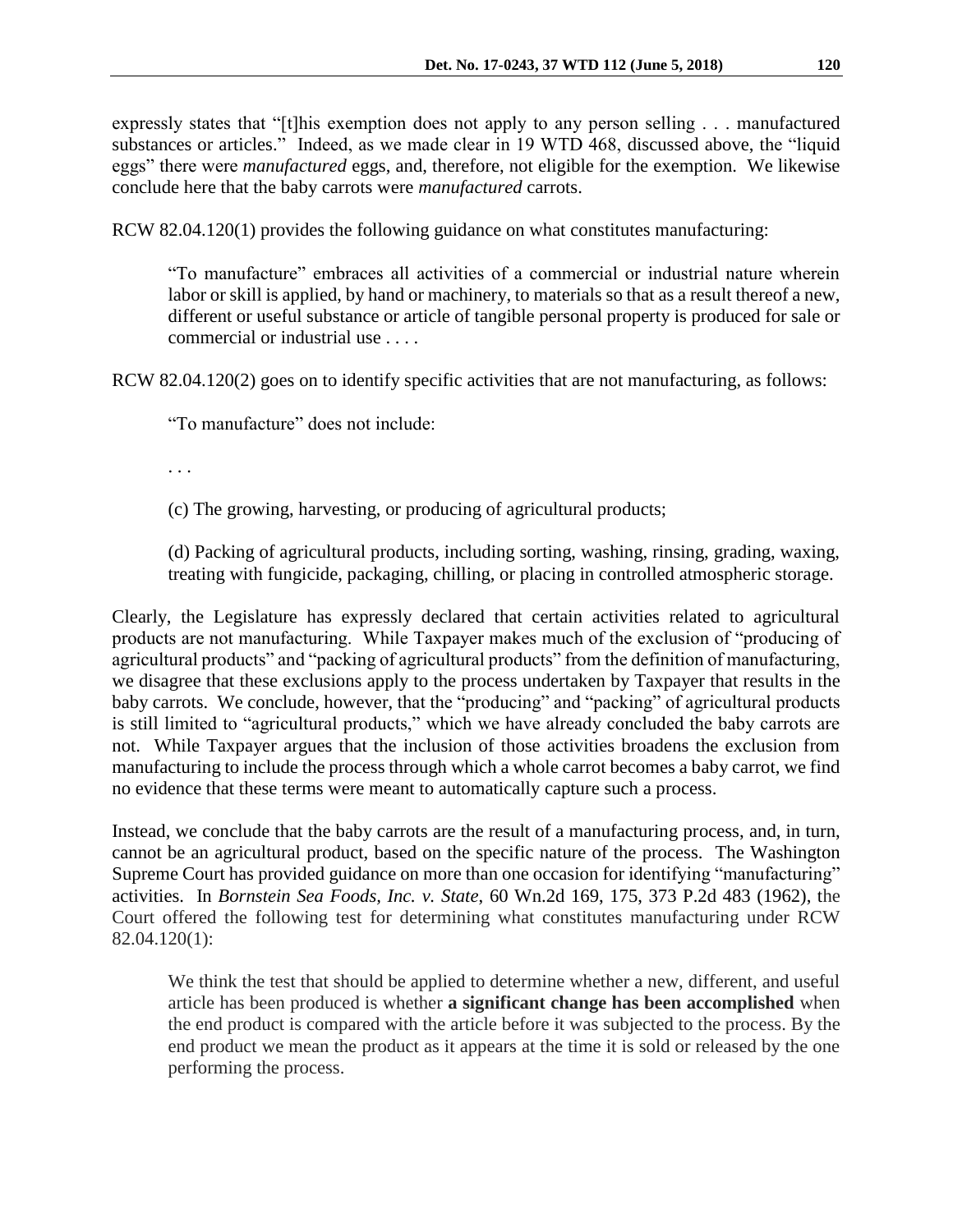expressly states that "[t]his exemption does not apply to any person selling . . . manufactured substances or articles." Indeed, as we made clear in 19 WTD 468, discussed above, the "liquid eggs" there were *manufactured* eggs, and, therefore, not eligible for the exemption. We likewise conclude here that the baby carrots were *manufactured* carrots.

RCW 82.04.120(1) provides the following guidance on what constitutes manufacturing:

"To manufacture" embraces all activities of a commercial or industrial nature wherein labor or skill is applied, by hand or machinery, to materials so that as a result thereof a new, different or useful substance or article of tangible personal property is produced for sale or commercial or industrial use . . . .

RCW 82.04.120(2) goes on to identify specific activities that are not manufacturing, as follows:

"To manufacture" does not include:

. . .

(c) The growing, harvesting, or producing of agricultural products;

(d) Packing of agricultural products, including sorting, washing, rinsing, grading, waxing, treating with fungicide, packaging, chilling, or placing in controlled atmospheric storage.

Clearly, the Legislature has expressly declared that certain activities related to agricultural products are not manufacturing. While Taxpayer makes much of the exclusion of "producing of agricultural products" and "packing of agricultural products" from the definition of manufacturing, we disagree that these exclusions apply to the process undertaken by Taxpayer that results in the baby carrots. We conclude, however, that the "producing" and "packing" of agricultural products is still limited to "agricultural products," which we have already concluded the baby carrots are not. While Taxpayer argues that the inclusion of those activities broadens the exclusion from manufacturing to include the process through which a whole carrot becomes a baby carrot, we find no evidence that these terms were meant to automatically capture such a process.

Instead, we conclude that the baby carrots are the result of a manufacturing process, and, in turn, cannot be an agricultural product, based on the specific nature of the process. The Washington Supreme Court has provided guidance on more than one occasion for identifying "manufacturing" activities. In *Bornstein Sea Foods, Inc. v. State*, 60 Wn.2d 169, 175, 373 P.2d 483 (1962), the Court offered the following test for determining what constitutes manufacturing under RCW 82.04.120(1):

We think the test that should be applied to determine whether a new, different, and useful article has been produced is whether **a significant change has been accomplished** when the end product is compared with the article before it was subjected to the process. By the end product we mean the product as it appears at the time it is sold or released by the one performing the process.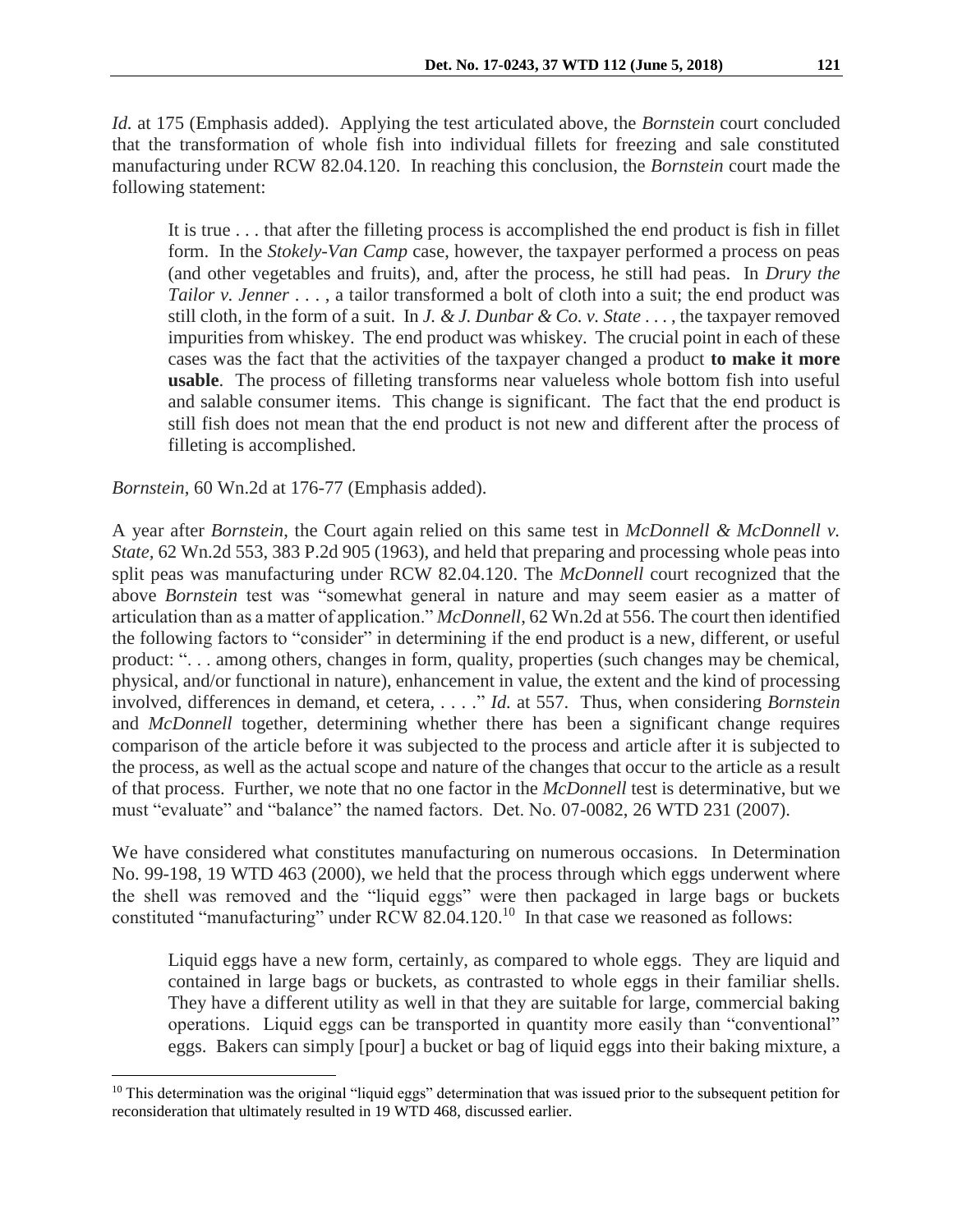*Id.* at 175 (Emphasis added). Applying the test articulated above, the *Bornstein* court concluded that the transformation of whole fish into individual fillets for freezing and sale constituted manufacturing under RCW 82.04.120. In reaching this conclusion, the *Bornstein* court made the following statement:

It is true . . . that after the filleting process is accomplished the end product is fish in fillet form. In the *Stokely-Van Camp* case, however, the taxpayer performed a process on peas (and other vegetables and fruits), and, after the process, he still had peas. In *Drury the Tailor v. Jenner* . . . , a tailor transformed a bolt of cloth into a suit; the end product was still cloth, in the form of a suit. In *J. & J. Dunbar & Co. v. State* . . . , the taxpayer removed impurities from whiskey. The end product was whiskey. The crucial point in each of these cases was the fact that the activities of the taxpayer changed a product **to make it more usable**. The process of filleting transforms near valueless whole bottom fish into useful and salable consumer items. This change is significant. The fact that the end product is still fish does not mean that the end product is not new and different after the process of filleting is accomplished.

#### *Bornstein*, 60 Wn.2d at 176-77 (Emphasis added).

 $\overline{a}$ 

A year after *Bornstein*, the Court again relied on this same test in *McDonnell & McDonnell v. State,* 62 Wn.2d 553, 383 P.2d 905 (1963)*,* and held that preparing and processing whole peas into split peas was manufacturing under RCW 82.04.120. The *McDonnell* court recognized that the above *Bornstein* test was "somewhat general in nature and may seem easier as a matter of articulation than as a matter of application." *McDonnell*, 62 Wn.2d at 556. The court then identified the following factors to "consider" in determining if the end product is a new, different, or useful product: ". . . among others, changes in form, quality, properties (such changes may be chemical, physical, and/or functional in nature), enhancement in value, the extent and the kind of processing involved, differences in demand, et cetera, . . . ." *Id.* at 557. Thus, when considering *Bornstein*  and *McDonnell* together, determining whether there has been a significant change requires comparison of the article before it was subjected to the process and article after it is subjected to the process, as well as the actual scope and nature of the changes that occur to the article as a result of that process. Further, we note that no one factor in the *McDonnell* test is determinative, but we must "evaluate" and "balance" the named factors. Det. No. 07-0082, 26 WTD 231 (2007).

We have considered what constitutes manufacturing on numerous occasions. In Determination No. 99-198, 19 WTD 463 (2000), we held that the process through which eggs underwent where the shell was removed and the "liquid eggs" were then packaged in large bags or buckets constituted "manufacturing" under RCW 82.04.120.<sup>10</sup> In that case we reasoned as follows:

Liquid eggs have a new form, certainly, as compared to whole eggs. They are liquid and contained in large bags or buckets, as contrasted to whole eggs in their familiar shells. They have a different utility as well in that they are suitable for large, commercial baking operations. Liquid eggs can be transported in quantity more easily than "conventional" eggs. Bakers can simply [pour] a bucket or bag of liquid eggs into their baking mixture, a

<sup>&</sup>lt;sup>10</sup> This determination was the original "liquid eggs" determination that was issued prior to the subsequent petition for reconsideration that ultimately resulted in 19 WTD 468, discussed earlier.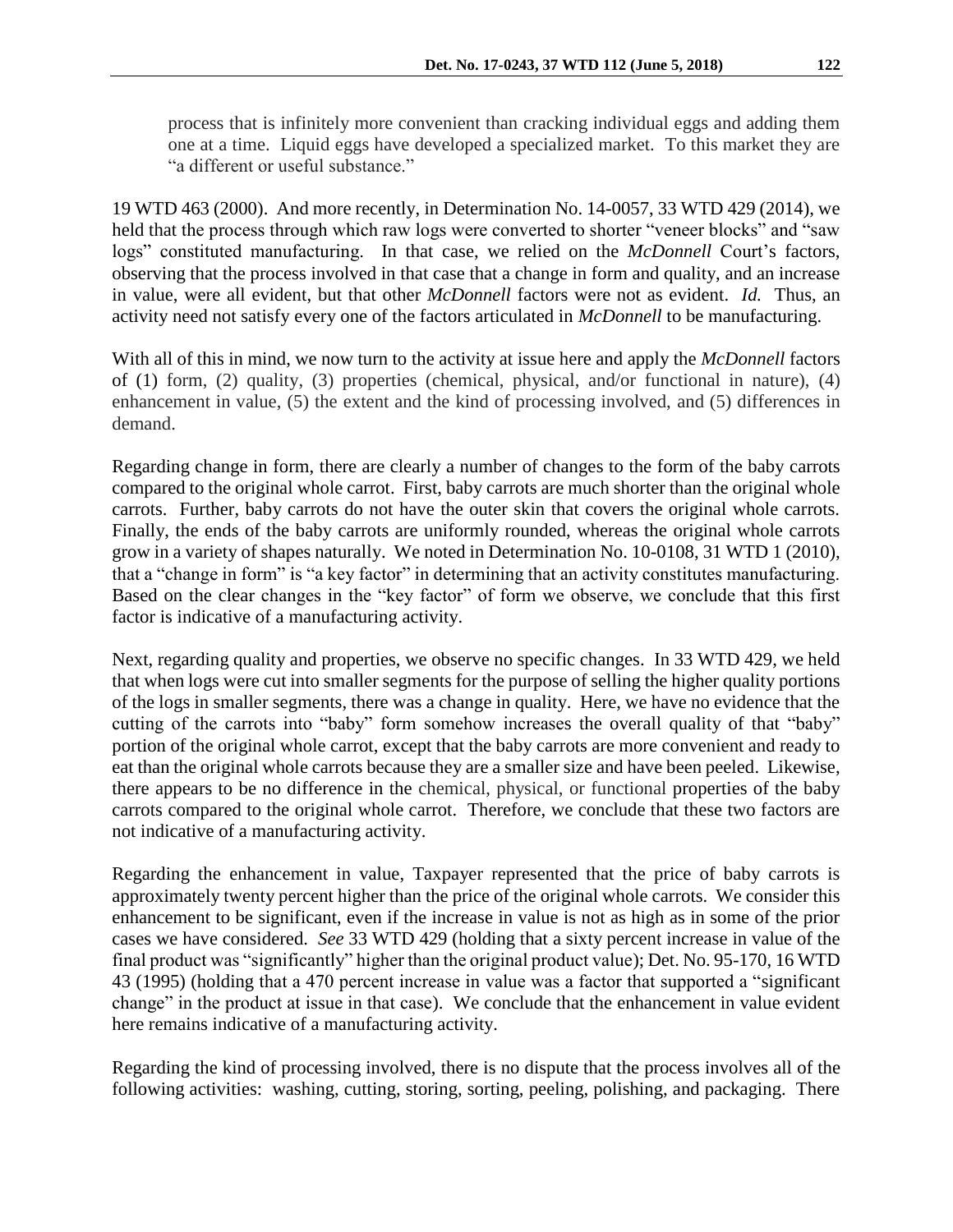process that is infinitely more convenient than cracking individual eggs and adding them one at a time. Liquid eggs have developed a specialized market. To this market they are "a different or useful substance"

19 WTD 463 (2000). And more recently, in Determination No. 14-0057, 33 WTD 429 (2014), we held that the process through which raw logs were converted to shorter "veneer blocks" and "saw logs" constituted manufacturing. In that case, we relied on the *McDonnell* Court's factors, observing that the process involved in that case that a change in form and quality, and an increase in value, were all evident, but that other *McDonnell* factors were not as evident. *Id.* Thus, an activity need not satisfy every one of the factors articulated in *McDonnell* to be manufacturing.

With all of this in mind, we now turn to the activity at issue here and apply the *McDonnell* factors of (1) form, (2) quality, (3) properties (chemical, physical, and/or functional in nature), (4) enhancement in value, (5) the extent and the kind of processing involved, and (5) differences in demand.

Regarding change in form, there are clearly a number of changes to the form of the baby carrots compared to the original whole carrot. First, baby carrots are much shorter than the original whole carrots. Further, baby carrots do not have the outer skin that covers the original whole carrots. Finally, the ends of the baby carrots are uniformly rounded, whereas the original whole carrots grow in a variety of shapes naturally. We noted in Determination No. 10-0108, 31 WTD 1 (2010), that a "change in form" is "a key factor" in determining that an activity constitutes manufacturing. Based on the clear changes in the "key factor" of form we observe, we conclude that this first factor is indicative of a manufacturing activity.

Next, regarding quality and properties, we observe no specific changes. In 33 WTD 429, we held that when logs were cut into smaller segments for the purpose of selling the higher quality portions of the logs in smaller segments, there was a change in quality. Here, we have no evidence that the cutting of the carrots into "baby" form somehow increases the overall quality of that "baby" portion of the original whole carrot, except that the baby carrots are more convenient and ready to eat than the original whole carrots because they are a smaller size and have been peeled. Likewise, there appears to be no difference in the chemical, physical, or functional properties of the baby carrots compared to the original whole carrot. Therefore, we conclude that these two factors are not indicative of a manufacturing activity.

Regarding the enhancement in value, Taxpayer represented that the price of baby carrots is approximately twenty percent higher than the price of the original whole carrots. We consider this enhancement to be significant, even if the increase in value is not as high as in some of the prior cases we have considered. *See* 33 WTD 429 (holding that a sixty percent increase in value of the final product was "significantly" higher than the original product value); Det. No. 95-170, 16 WTD 43 (1995) (holding that a 470 percent increase in value was a factor that supported a "significant change" in the product at issue in that case). We conclude that the enhancement in value evident here remains indicative of a manufacturing activity.

Regarding the kind of processing involved, there is no dispute that the process involves all of the following activities: washing, cutting, storing, sorting, peeling, polishing, and packaging. There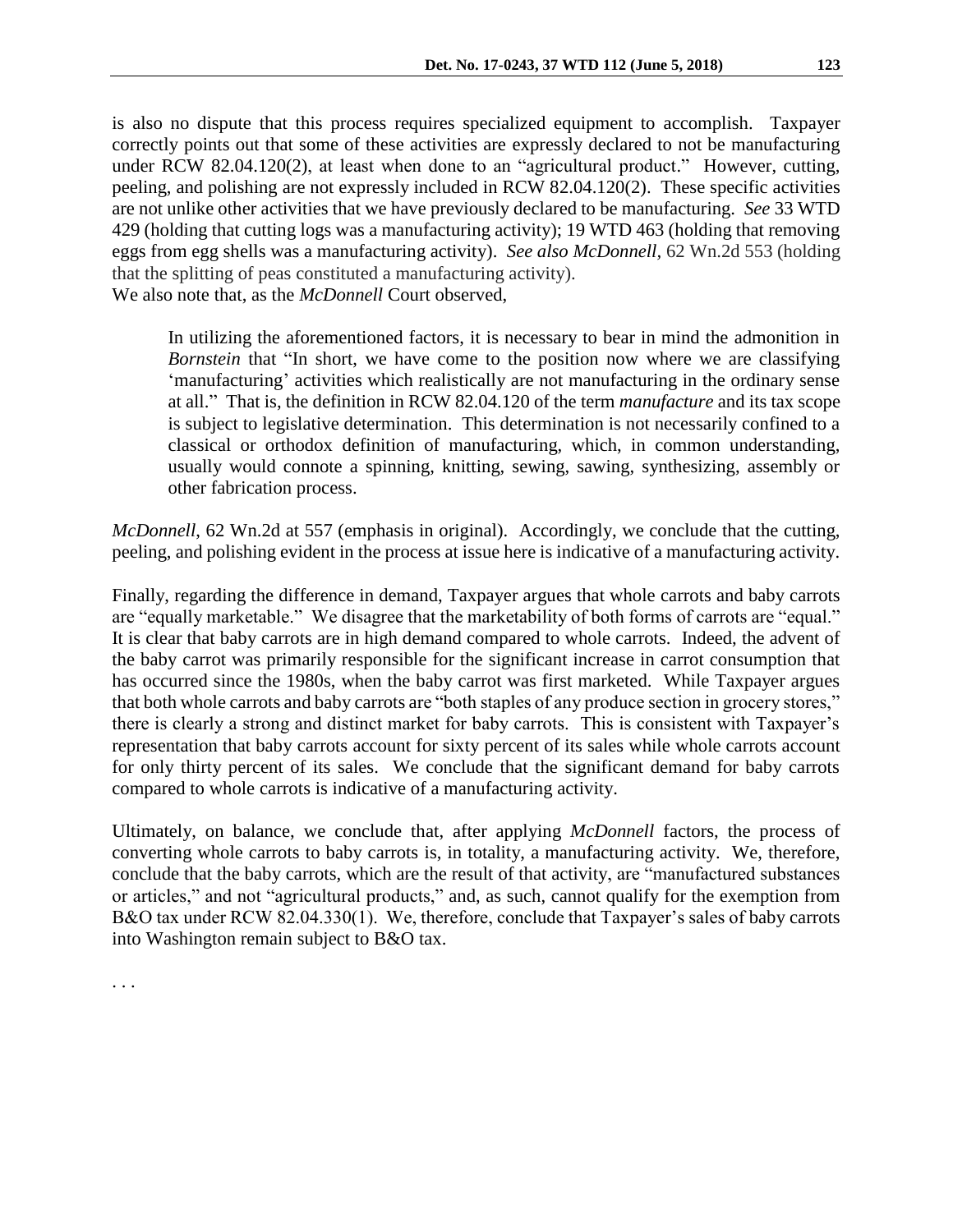is also no dispute that this process requires specialized equipment to accomplish. Taxpayer correctly points out that some of these activities are expressly declared to not be manufacturing under RCW 82.04.120(2), at least when done to an "agricultural product." However, cutting, peeling, and polishing are not expressly included in RCW 82.04.120(2). These specific activities are not unlike other activities that we have previously declared to be manufacturing. *See* 33 WTD 429 (holding that cutting logs was a manufacturing activity); 19 WTD 463 (holding that removing eggs from egg shells was a manufacturing activity). *See also McDonnell,* 62 Wn.2d 553 (holding that the splitting of peas constituted a manufacturing activity). We also note that, as the *McDonnell* Court observed,

In utilizing the aforementioned factors, it is necessary to bear in mind the admonition in *Bornstein* that "In short, we have come to the position now where we are classifying 'manufacturing' activities which realistically are not manufacturing in the ordinary sense at all." That is, the definition in RCW 82.04.120 of the term *manufacture* and its tax scope is subject to legislative determination. This determination is not necessarily confined to a classical or orthodox definition of manufacturing, which, in common understanding, usually would connote a spinning, knitting, sewing, sawing, synthesizing, assembly or other fabrication process.

*McDonnell*, 62 Wn.2d at 557 (emphasis in original). Accordingly, we conclude that the cutting, peeling, and polishing evident in the process at issue here is indicative of a manufacturing activity.

Finally, regarding the difference in demand, Taxpayer argues that whole carrots and baby carrots are "equally marketable." We disagree that the marketability of both forms of carrots are "equal." It is clear that baby carrots are in high demand compared to whole carrots. Indeed, the advent of the baby carrot was primarily responsible for the significant increase in carrot consumption that has occurred since the 1980s, when the baby carrot was first marketed. While Taxpayer argues that both whole carrots and baby carrots are "both staples of any produce section in grocery stores," there is clearly a strong and distinct market for baby carrots. This is consistent with Taxpayer's representation that baby carrots account for sixty percent of its sales while whole carrots account for only thirty percent of its sales. We conclude that the significant demand for baby carrots compared to whole carrots is indicative of a manufacturing activity.

Ultimately, on balance, we conclude that, after applying *McDonnell* factors, the process of converting whole carrots to baby carrots is, in totality, a manufacturing activity. We, therefore, conclude that the baby carrots, which are the result of that activity, are "manufactured substances or articles," and not "agricultural products," and, as such, cannot qualify for the exemption from B&O tax under RCW 82.04.330(1). We, therefore, conclude that Taxpayer's sales of baby carrots into Washington remain subject to B&O tax.

. . .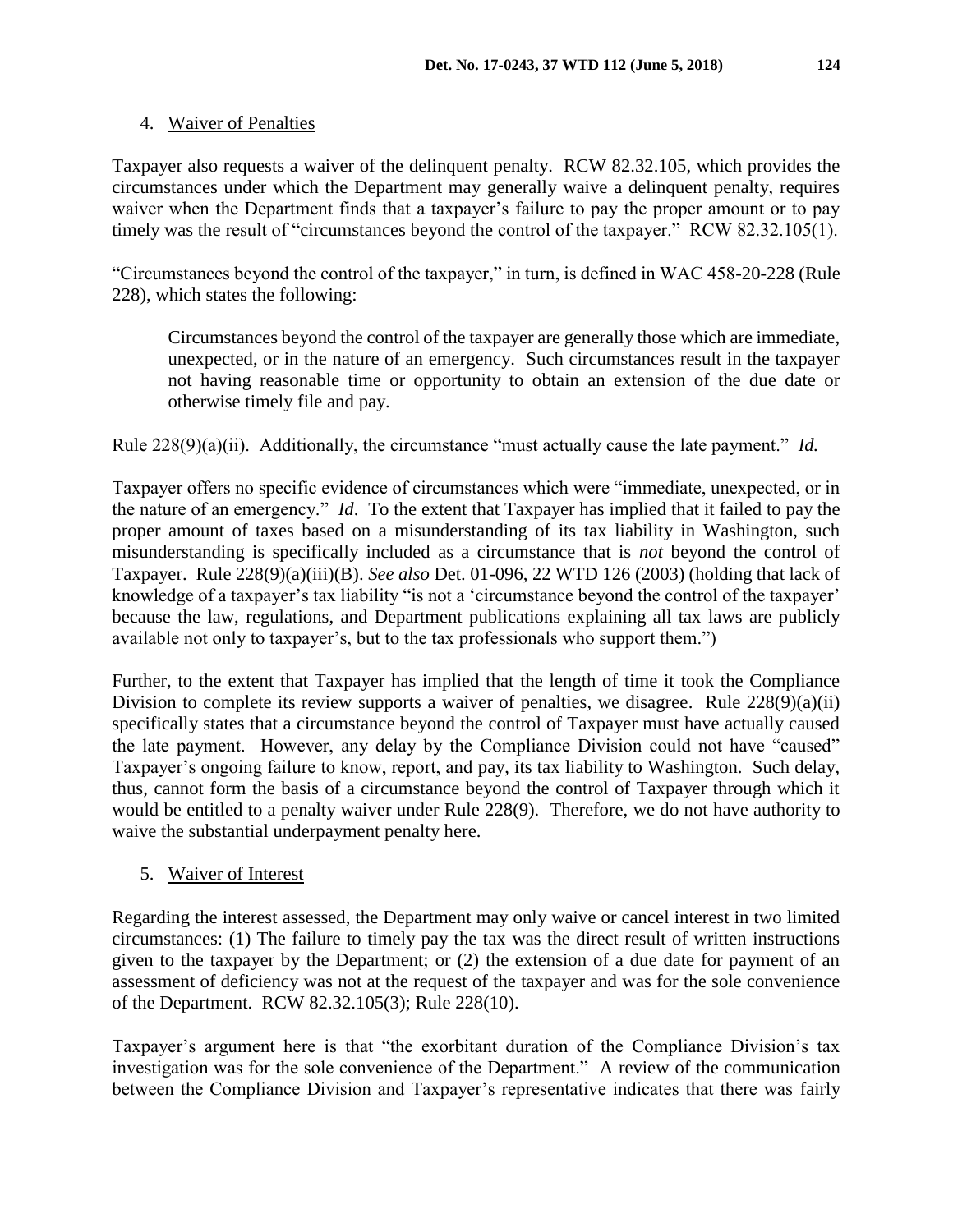## 4. Waiver of Penalties

Taxpayer also requests a waiver of the delinquent penalty. RCW 82.32.105, which provides the circumstances under which the Department may generally waive a delinquent penalty, requires waiver when the Department finds that a taxpayer's failure to pay the proper amount or to pay timely was the result of "circumstances beyond the control of the taxpayer." RCW 82.32.105(1).

"Circumstances beyond the control of the taxpayer," in turn, is defined in WAC 458-20-228 (Rule 228), which states the following:

Circumstances beyond the control of the taxpayer are generally those which are immediate, unexpected, or in the nature of an emergency. Such circumstances result in the taxpayer not having reasonable time or opportunity to obtain an extension of the due date or otherwise timely file and pay.

Rule 228(9)(a)(ii). Additionally, the circumstance "must actually cause the late payment." *Id.*

Taxpayer offers no specific evidence of circumstances which were "immediate, unexpected, or in the nature of an emergency." *Id*. To the extent that Taxpayer has implied that it failed to pay the proper amount of taxes based on a misunderstanding of its tax liability in Washington, such misunderstanding is specifically included as a circumstance that is *not* beyond the control of Taxpayer. Rule 228(9)(a)(iii)(B). *See also* Det. 01-096, 22 WTD 126 (2003) (holding that lack of knowledge of a taxpayer's tax liability "is not a 'circumstance beyond the control of the taxpayer' because the law, regulations, and Department publications explaining all tax laws are publicly available not only to taxpayer's, but to the tax professionals who support them.")

Further, to the extent that Taxpayer has implied that the length of time it took the Compliance Division to complete its review supports a waiver of penalties, we disagree. Rule 228(9)(a)(ii) specifically states that a circumstance beyond the control of Taxpayer must have actually caused the late payment. However, any delay by the Compliance Division could not have "caused" Taxpayer's ongoing failure to know, report, and pay, its tax liability to Washington. Such delay, thus, cannot form the basis of a circumstance beyond the control of Taxpayer through which it would be entitled to a penalty waiver under Rule 228(9). Therefore, we do not have authority to waive the substantial underpayment penalty here.

## 5. Waiver of Interest

Regarding the interest assessed, the Department may only waive or cancel interest in two limited circumstances: (1) The failure to timely pay the tax was the direct result of written instructions given to the taxpayer by the Department; or (2) the extension of a due date for payment of an assessment of deficiency was not at the request of the taxpayer and was for the sole convenience of the Department. RCW 82.32.105(3); Rule 228(10).

Taxpayer's argument here is that "the exorbitant duration of the Compliance Division's tax investigation was for the sole convenience of the Department." A review of the communication between the Compliance Division and Taxpayer's representative indicates that there was fairly